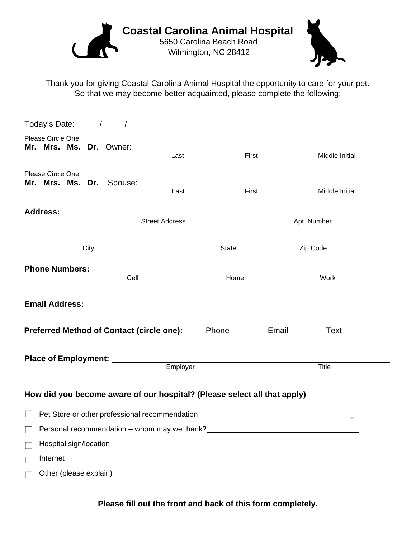

Thank you for giving Coastal Carolina Animal Hospital the opportunity to care for your pet. So that we may become better acquainted, please complete the following:

|                                                            | Please Circle One:             |  |      | Mr. Mrs. Ms. Dr. Owner:                          |                                                                                                                                                                                                                                |                                                                          |             |                |  |  |
|------------------------------------------------------------|--------------------------------|--|------|--------------------------------------------------|--------------------------------------------------------------------------------------------------------------------------------------------------------------------------------------------------------------------------------|--------------------------------------------------------------------------|-------------|----------------|--|--|
|                                                            |                                |  |      |                                                  | Last                                                                                                                                                                                                                           | First                                                                    |             | Middle Initial |  |  |
|                                                            | Please Circle One:             |  |      |                                                  |                                                                                                                                                                                                                                |                                                                          |             |                |  |  |
|                                                            |                                |  |      | Mr. Mrs. Ms. Dr. Spouse:                         | Last                                                                                                                                                                                                                           | First                                                                    |             | Middle Initial |  |  |
|                                                            |                                |  |      |                                                  |                                                                                                                                                                                                                                |                                                                          |             |                |  |  |
|                                                            | <b>Street Address</b>          |  |      |                                                  |                                                                                                                                                                                                                                |                                                                          | Apt. Number |                |  |  |
|                                                            |                                |  | City |                                                  |                                                                                                                                                                                                                                | State                                                                    |             | Zip Code       |  |  |
|                                                            | <b>Phone Numbers: ________</b> |  |      |                                                  |                                                                                                                                                                                                                                |                                                                          |             |                |  |  |
|                                                            |                                |  |      | Cell                                             |                                                                                                                                                                                                                                | Home                                                                     |             | Work           |  |  |
|                                                            |                                |  |      |                                                  | Email Address: No. 1996. The Manuscript of the Manuscript of the Manuscript of the Manuscript of the Manuscript of the Manuscript of the Manuscript of the Manuscript of the Manuscript of the Manuscript of the Manuscript of |                                                                          |             |                |  |  |
|                                                            |                                |  |      | <b>Preferred Method of Contact (circle one):</b> |                                                                                                                                                                                                                                | <b>Phone</b>                                                             | Email       | <b>Text</b>    |  |  |
|                                                            |                                |  |      | Place of Employment: ________                    |                                                                                                                                                                                                                                |                                                                          |             |                |  |  |
| Employer                                                   |                                |  |      |                                                  |                                                                                                                                                                                                                                |                                                                          |             | <b>Title</b>   |  |  |
|                                                            |                                |  |      |                                                  |                                                                                                                                                                                                                                | How did you become aware of our hospital? (Please select all that apply) |             |                |  |  |
| Pet Store or other professional recommendation             |                                |  |      |                                                  |                                                                                                                                                                                                                                |                                                                          |             |                |  |  |
| Personal recommendation - whom may we thank?<br>Note: 1998 |                                |  |      |                                                  |                                                                                                                                                                                                                                |                                                                          |             |                |  |  |
| Hospital sign/location<br>$\mathbb{R}$                     |                                |  |      |                                                  |                                                                                                                                                                                                                                |                                                                          |             |                |  |  |
| $\Box$                                                     | Internet                       |  |      |                                                  |                                                                                                                                                                                                                                |                                                                          |             |                |  |  |
|                                                            |                                |  |      |                                                  |                                                                                                                                                                                                                                |                                                                          |             |                |  |  |

**Please fill out the front and back of this form completely.**